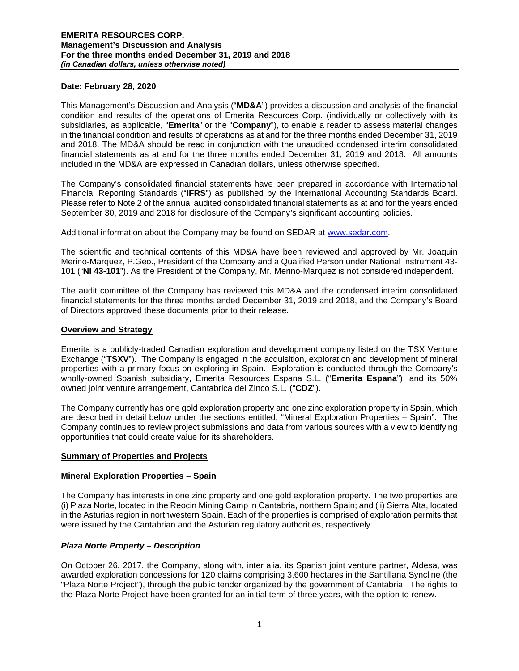#### **Date: February 28, 2020**

This Management's Discussion and Analysis ("**MD&A**") provides a discussion and analysis of the financial condition and results of the operations of Emerita Resources Corp. (individually or collectively with its subsidiaries, as applicable, "**Emerita**" or the "**Company**"), to enable a reader to assess material changes in the financial condition and results of operations as at and for the three months ended December 31, 2019 and 2018. The MD&A should be read in conjunction with the unaudited condensed interim consolidated financial statements as at and for the three months ended December 31, 2019 and 2018. All amounts included in the MD&A are expressed in Canadian dollars, unless otherwise specified.

The Company's consolidated financial statements have been prepared in accordance with International Financial Reporting Standards ("**IFRS**") as published by the International Accounting Standards Board. Please refer to Note 2 of the annual audited consolidated financial statements as at and for the years ended September 30, 2019 and 2018 for disclosure of the Company's significant accounting policies.

Additional information about the Company may be found on SEDAR at [www.sedar.com.](http://www.sedar.com/)

The scientific and technical contents of this MD&A have been reviewed and approved by Mr. Joaquin Merino-Marquez, P.Geo., President of the Company and a Qualified Person under National Instrument 43- 101 ("**NI 43-101**"). As the President of the Company, Mr. Merino-Marquez is not considered independent.

The audit committee of the Company has reviewed this MD&A and the condensed interim consolidated financial statements for the three months ended December 31, 2019 and 2018, and the Company's Board of Directors approved these documents prior to their release.

#### **Overview and Strategy**

Emerita is a publicly-traded Canadian exploration and development company listed on the TSX Venture Exchange ("**TSXV**"). The Company is engaged in the acquisition, exploration and development of mineral properties with a primary focus on exploring in Spain. Exploration is conducted through the Company's wholly-owned Spanish subsidiary, Emerita Resources Espana S.L. ("**Emerita Espana**"), and its 50% owned joint venture arrangement, Cantabrica del Zinco S.L. ("**CDZ**").

The Company currently has one gold exploration property and one zinc exploration property in Spain, which are described in detail below under the sections entitled, "Mineral Exploration Properties – Spain". The Company continues to review project submissions and data from various sources with a view to identifying opportunities that could create value for its shareholders.

## **Summary of Properties and Projects**

## **Mineral Exploration Properties – Spain**

The Company has interests in one zinc property and one gold exploration property. The two properties are (i) Plaza Norte, located in the Reocin Mining Camp in Cantabria, northern Spain; and (ii) Sierra Alta, located in the Asturias region in northwestern Spain. Each of the properties is comprised of exploration permits that were issued by the Cantabrian and the Asturian regulatory authorities, respectively.

## *Plaza Norte Property – Description*

On October 26, 2017, the Company, along with, inter alia, its Spanish joint venture partner, Aldesa, was awarded exploration concessions for 120 claims comprising 3,600 hectares in the Santillana Syncline (the "Plaza Norte Project"), through the public tender organized by the government of Cantabria. The rights to the Plaza Norte Project have been granted for an initial term of three years, with the option to renew.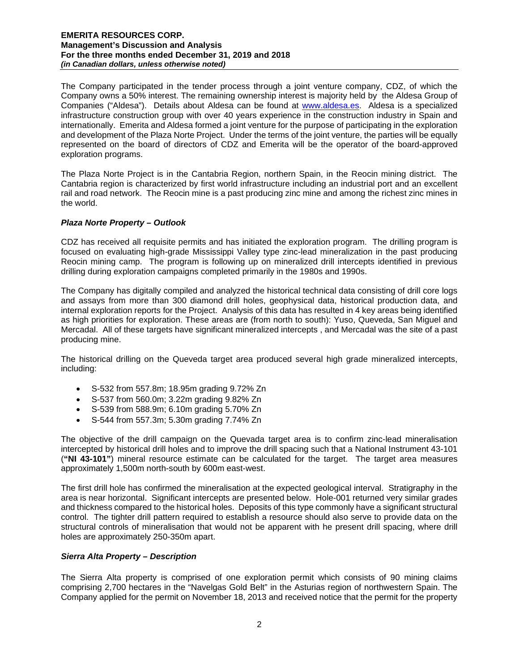The Company participated in the tender process through a joint venture company, CDZ, of which the Company owns a 50% interest. The remaining ownership interest is majority held by the Aldesa Group of Companies ("Aldesa"). Details about Aldesa can be found at [www.aldesa.es.](http://www.aldesa.es/) Aldesa is a specialized infrastructure construction group with over 40 years experience in the construction industry in Spain and internationally. Emerita and Aldesa formed a joint venture for the purpose of participating in the exploration and development of the Plaza Norte Project. Under the terms of the joint venture, the parties will be equally represented on the board of directors of CDZ and Emerita will be the operator of the board-approved exploration programs.

The Plaza Norte Project is in the Cantabria Region, northern Spain, in the Reocin mining district. The Cantabria region is characterized by first world infrastructure including an industrial port and an excellent rail and road network. The Reocin mine is a past producing zinc mine and among the richest zinc mines in the world.

## *Plaza Norte Property – Outlook*

CDZ has received all requisite permits and has initiated the exploration program. The drilling program is focused on evaluating high-grade Mississippi Valley type zinc-lead mineralization in the past producing Reocin mining camp. The program is following up on mineralized drill intercepts identified in previous drilling during exploration campaigns completed primarily in the 1980s and 1990s.

The Company has digitally compiled and analyzed the historical technical data consisting of drill core logs and assays from more than 300 diamond drill holes, geophysical data, historical production data, and internal exploration reports for the Project. Analysis of this data has resulted in 4 key areas being identified as high priorities for exploration. These areas are (from north to south): Yuso, Queveda, San Miguel and Mercadal. All of these targets have significant mineralized intercepts , and Mercadal was the site of a past producing mine.

The historical drilling on the Queveda target area produced several high grade mineralized intercepts, including:

- S-532 from 557.8m; 18.95m grading 9.72% Zn
- S-537 from 560.0m; 3.22m grading 9.82% Zn
- S-539 from 588.9m; 6.10m grading 5.70% Zn
- S-544 from 557.3m; 5.30m grading 7.74% Zn

The objective of the drill campaign on the Quevada target area is to confirm zinc-lead mineralisation intercepted by historical drill holes and to improve the drill spacing such that a National Instrument 43-101 (**"NI 43-101"**) mineral resource estimate can be calculated for the target. The target area measures approximately 1,500m north-south by 600m east-west.

The first drill hole has confirmed the mineralisation at the expected geological interval. Stratigraphy in the area is near horizontal. Significant intercepts are presented below. Hole-001 returned very similar grades and thickness compared to the historical holes. Deposits of this type commonly have a significant structural control. The tighter drill pattern required to establish a resource should also serve to provide data on the structural controls of mineralisation that would not be apparent with he present drill spacing, where drill holes are approximately 250-350m apart.

## *Sierra Alta Property – Description*

The Sierra Alta property is comprised of one exploration permit which consists of 90 mining claims comprising 2,700 hectares in the "Navelgas Gold Belt" in the Asturias region of northwestern Spain. The Company applied for the permit on November 18, 2013 and received notice that the permit for the property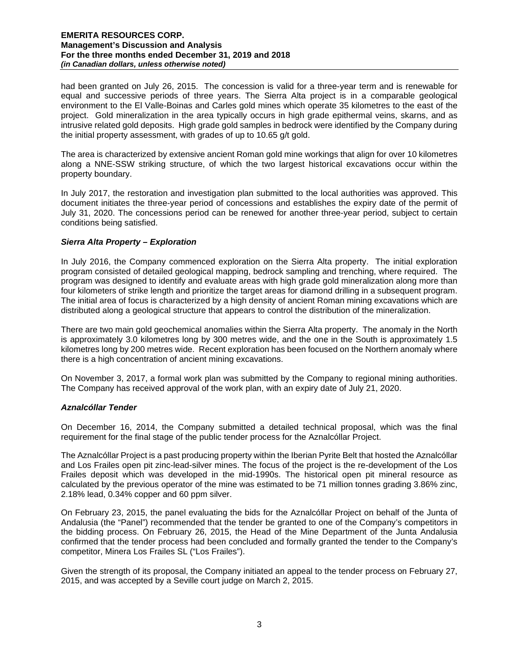had been granted on July 26, 2015. The concession is valid for a three-year term and is renewable for equal and successive periods of three years. The Sierra Alta project is in a comparable geological environment to the El Valle-Boinas and Carles gold mines which operate 35 kilometres to the east of the project. Gold mineralization in the area typically occurs in high grade epithermal veins, skarns, and as intrusive related gold deposits. High grade gold samples in bedrock were identified by the Company during the initial property assessment, with grades of up to 10.65 g/t gold.

The area is characterized by extensive ancient Roman gold mine workings that align for over 10 kilometres along a NNE-SSW striking structure, of which the two largest historical excavations occur within the property boundary.

In July 2017, the restoration and investigation plan submitted to the local authorities was approved. This document initiates the three-year period of concessions and establishes the expiry date of the permit of July 31, 2020. The concessions period can be renewed for another three-year period, subject to certain conditions being satisfied.

## *Sierra Alta Property – Exploration*

In July 2016, the Company commenced exploration on the Sierra Alta property. The initial exploration program consisted of detailed geological mapping, bedrock sampling and trenching, where required. The program was designed to identify and evaluate areas with high grade gold mineralization along more than four kilometers of strike length and prioritize the target areas for diamond drilling in a subsequent program. The initial area of focus is characterized by a high density of ancient Roman mining excavations which are distributed along a geological structure that appears to control the distribution of the mineralization.

There are two main gold geochemical anomalies within the Sierra Alta property. The anomaly in the North is approximately 3.0 kilometres long by 300 metres wide, and the one in the South is approximately 1.5 kilometres long by 200 metres wide. Recent exploration has been focused on the Northern anomaly where there is a high concentration of ancient mining excavations.

On November 3, 2017, a formal work plan was submitted by the Company to regional mining authorities. The Company has received approval of the work plan, with an expiry date of July 21, 2020.

## *Aznalcóllar Tender*

On December 16, 2014, the Company submitted a detailed technical proposal, which was the final requirement for the final stage of the public tender process for the Aznalcóllar Project.

The Aznalcóllar Project is a past producing property within the Iberian Pyrite Belt that hosted the Aznalcóllar and Los Frailes open pit zinc-lead-silver mines. The focus of the project is the re-development of the Los Frailes deposit which was developed in the mid-1990s. The historical open pit mineral resource as calculated by the previous operator of the mine was estimated to be 71 million tonnes grading 3.86% zinc, 2.18% lead, 0.34% copper and 60 ppm silver.

On February 23, 2015, the panel evaluating the bids for the Aznalcóllar Project on behalf of the Junta of Andalusia (the "Panel") recommended that the tender be granted to one of the Company's competitors in the bidding process. On February 26, 2015, the Head of the Mine Department of the Junta Andalusia confirmed that the tender process had been concluded and formally granted the tender to the Company's competitor, Minera Los Frailes SL ("Los Frailes").

Given the strength of its proposal, the Company initiated an appeal to the tender process on February 27, 2015, and was accepted by a Seville court judge on March 2, 2015.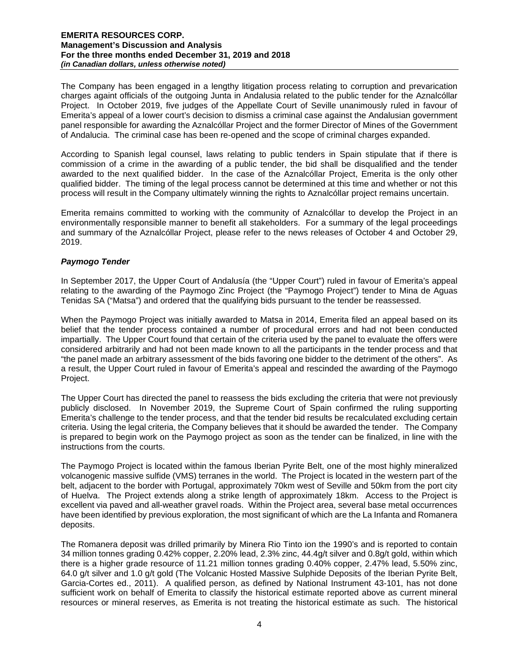The Company has been engaged in a lengthy litigation process relating to corruption and prevarication charges againt officials of the outgoing Junta in Andalusia related to the public tender for the Aznalcóllar Project. In October 2019, five judges of the Appellate Court of Seville unanimously ruled in favour of Emerita's appeal of a lower court's decision to dismiss a criminal case against the Andalusian government panel responsible for awarding the Aznalcóllar Project and the former Director of Mines of the Government of Andalucia. The criminal case has been re-opened and the scope of criminal charges expanded.

According to Spanish legal counsel, laws relating to public tenders in Spain stipulate that if there is commission of a crime in the awarding of a public tender, the bid shall be disqualified and the tender awarded to the next qualified bidder. In the case of the Aznalcóllar Project, Emerita is the only other qualified bidder. The timing of the legal process cannot be determined at this time and whether or not this process will result in the Company ultimately winning the rights to Aznalcóllar project remains uncertain.

Emerita remains committed to working with the community of Aznalcóllar to develop the Project in an environmentally responsible manner to benefit all stakeholders. For a summary of the legal proceedings and summary of the Aznalcóllar Project, please refer to the news releases of October 4 and October 29, 2019.

## *Paymogo Tender*

In September 2017, the Upper Court of Andalusía (the "Upper Court") ruled in favour of Emerita's appeal relating to the awarding of the Paymogo Zinc Project (the "Paymogo Project") tender to Mina de Aguas Tenidas SA ("Matsa") and ordered that the qualifying bids pursuant to the tender be reassessed.

When the Paymogo Project was initially awarded to Matsa in 2014, Emerita filed an appeal based on its belief that the tender process contained a number of procedural errors and had not been conducted impartially. The Upper Court found that certain of the criteria used by the panel to evaluate the offers were considered arbitrarily and had not been made known to all the participants in the tender process and that "the panel made an arbitrary assessment of the bids favoring one bidder to the detriment of the others". As a result, the Upper Court ruled in favour of Emerita's appeal and rescinded the awarding of the Paymogo Project.

The Upper Court has directed the panel to reassess the bids excluding the criteria that were not previously publicly disclosed. In November 2019, the Supreme Court of Spain confirmed the ruling supporting Emerita's challenge to the tender process, and that the tender bid results be recalculated excluding certain criteria. Using the legal criteria, the Company believes that it should be awarded the tender. The Company is prepared to begin work on the Paymogo project as soon as the tender can be finalized, in line with the instructions from the courts.

The Paymogo Project is located within the famous Iberian Pyrite Belt, one of the most highly mineralized volcanogenic massive sulfide (VMS) terranes in the world. The Project is located in the western part of the belt, adjacent to the border with Portugal, approximately 70km west of Seville and 50km from the port city of Huelva. The Project extends along a strike length of approximately 18km. Access to the Project is excellent via paved and all-weather gravel roads. Within the Project area, several base metal occurrences have been identified by previous exploration, the most significant of which are the La Infanta and Romanera deposits.

The Romanera deposit was drilled primarily by Minera Rio Tinto ion the 1990's and is reported to contain 34 million tonnes grading 0.42% copper, 2.20% lead, 2.3% zinc, 44.4g/t silver and 0.8g/t gold, within which there is a higher grade resource of 11.21 million tonnes grading 0.40% copper, 2.47% lead, 5.50% zinc, 64.0 g/t silver and 1.0 g/t gold (The Volcanic Hosted Massive Sulphide Deposits of the Iberian Pyrite Belt, Garcia-Cortes ed., 2011). A qualified person, as defined by National Instrument 43-101, has not done sufficient work on behalf of Emerita to classify the historical estimate reported above as current mineral resources or mineral reserves, as Emerita is not treating the historical estimate as such. The historical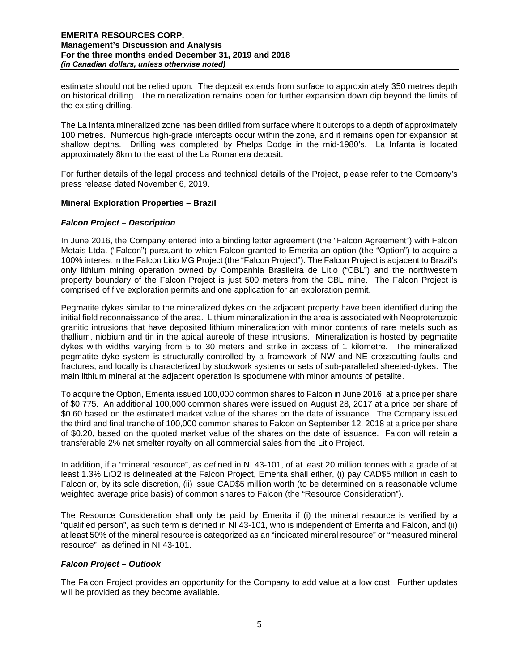estimate should not be relied upon. The deposit extends from surface to approximately 350 metres depth on historical drilling. The mineralization remains open for further expansion down dip beyond the limits of the existing drilling.

The La Infanta mineralized zone has been drilled from surface where it outcrops to a depth of approximately 100 metres. Numerous high-grade intercepts occur within the zone, and it remains open for expansion at shallow depths. Drilling was completed by Phelps Dodge in the mid-1980's. La Infanta is located approximately 8km to the east of the La Romanera deposit.

For further details of the legal process and technical details of the Project, please refer to the Company's press release dated November 6, 2019.

## **Mineral Exploration Properties – Brazil**

#### *Falcon Project – Description*

In June 2016, the Company entered into a binding letter agreement (the "Falcon Agreement") with Falcon Metais Ltda. ("Falcon") pursuant to which Falcon granted to Emerita an option (the "Option") to acquire a 100% interest in the Falcon Litio MG Project (the "Falcon Project"). The Falcon Project is adjacent to Brazil's only lithium mining operation owned by Companhia Brasileira de Lítio ("CBL") and the northwestern property boundary of the Falcon Project is just 500 meters from the CBL mine. The Falcon Project is comprised of five exploration permits and one application for an exploration permit.

Pegmatite dykes similar to the mineralized dykes on the adjacent property have been identified during the initial field reconnaissance of the area. Lithium mineralization in the area is associated with Neoproterozoic granitic intrusions that have deposited lithium mineralization with minor contents of rare metals such as thallium, niobium and tin in the apical aureole of these intrusions. Mineralization is hosted by pegmatite dykes with widths varying from 5 to 30 meters and strike in excess of 1 kilometre. The mineralized pegmatite dyke system is structurally-controlled by a framework of NW and NE crosscutting faults and fractures, and locally is characterized by stockwork systems or sets of sub-paralleled sheeted-dykes. The main lithium mineral at the adjacent operation is spodumene with minor amounts of petalite.

To acquire the Option, Emerita issued 100,000 common shares to Falcon in June 2016, at a price per share of \$0.775. An additional 100,000 common shares were issued on August 28, 2017 at a price per share of \$0.60 based on the estimated market value of the shares on the date of issuance. The Company issued the third and final tranche of 100,000 common shares to Falcon on September 12, 2018 at a price per share of \$0.20, based on the quoted market value of the shares on the date of issuance. Falcon will retain a transferable 2% net smelter royalty on all commercial sales from the Litio Project.

In addition, if a "mineral resource", as defined in NI 43-101, of at least 20 million tonnes with a grade of at least 1.3% LiO2 is delineated at the Falcon Project, Emerita shall either, (i) pay CAD\$5 million in cash to Falcon or, by its sole discretion, (ii) issue CAD\$5 million worth (to be determined on a reasonable volume weighted average price basis) of common shares to Falcon (the "Resource Consideration").

The Resource Consideration shall only be paid by Emerita if (i) the mineral resource is verified by a "qualified person", as such term is defined in NI 43-101, who is independent of Emerita and Falcon, and (ii) at least 50% of the mineral resource is categorized as an "indicated mineral resource" or "measured mineral resource", as defined in NI 43-101.

## *Falcon Project – Outlook*

The Falcon Project provides an opportunity for the Company to add value at a low cost. Further updates will be provided as they become available.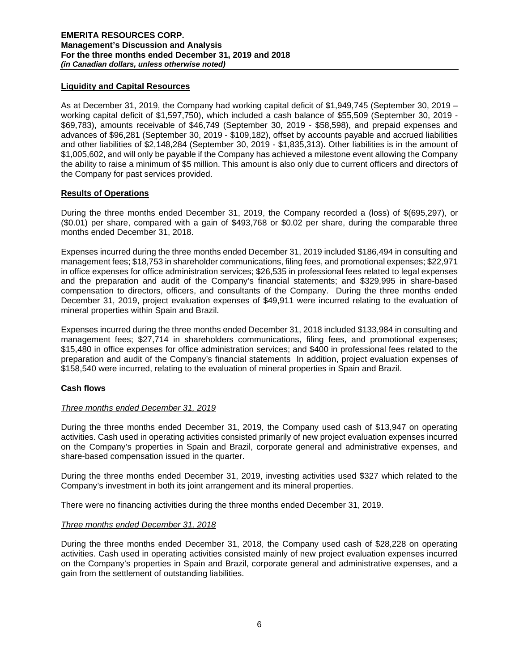## **Liquidity and Capital Resources**

As at December 31, 2019, the Company had working capital deficit of \$1,949,745 (September 30, 2019 – working capital deficit of \$1,597,750), which included a cash balance of \$55,509 (September 30, 2019 - \$69,783), amounts receivable of \$46,749 (September 30, 2019 - \$58,598), and prepaid expenses and advances of \$96,281 (September 30, 2019 - \$109,182), offset by accounts payable and accrued liabilities and other liabilities of \$2,148,284 (September 30, 2019 - \$1,835,313). Other liabilities is in the amount of \$1,005,602, and will only be payable if the Company has achieved a milestone event allowing the Company the ability to raise a minimum of \$5 million. This amount is also only due to current officers and directors of the Company for past services provided.

## **Results of Operations**

During the three months ended December 31, 2019, the Company recorded a (loss) of \$(695,297), or (\$0.01) per share, compared with a gain of \$493,768 or \$0.02 per share, during the comparable three months ended December 31, 2018.

Expenses incurred during the three months ended December 31, 2019 included \$186,494 in consulting and management fees; \$18,753 in shareholder communications, filing fees, and promotional expenses; \$22,971 in office expenses for office administration services; \$26,535 in professional fees related to legal expenses and the preparation and audit of the Company's financial statements; and \$329,995 in share-based compensation to directors, officers, and consultants of the Company. During the three months ended December 31, 2019, project evaluation expenses of \$49,911 were incurred relating to the evaluation of mineral properties within Spain and Brazil.

Expenses incurred during the three months ended December 31, 2018 included \$133,984 in consulting and management fees; \$27,714 in shareholders communications, filing fees, and promotional expenses; \$15,480 in office expenses for office administration services; and \$400 in professional fees related to the preparation and audit of the Company's financial statements In addition, project evaluation expenses of \$158,540 were incurred, relating to the evaluation of mineral properties in Spain and Brazil.

## **Cash flows**

## *Three months ended December 31, 2019*

During the three months ended December 31, 2019, the Company used cash of \$13,947 on operating activities. Cash used in operating activities consisted primarily of new project evaluation expenses incurred on the Company's properties in Spain and Brazil, corporate general and administrative expenses, and share-based compensation issued in the quarter.

During the three months ended December 31, 2019, investing activities used \$327 which related to the Company's investment in both its joint arrangement and its mineral properties.

There were no financing activities during the three months ended December 31, 2019.

# *Three months ended December 31, 2018*

During the three months ended December 31, 2018, the Company used cash of \$28,228 on operating activities. Cash used in operating activities consisted mainly of new project evaluation expenses incurred on the Company's properties in Spain and Brazil, corporate general and administrative expenses, and a gain from the settlement of outstanding liabilities.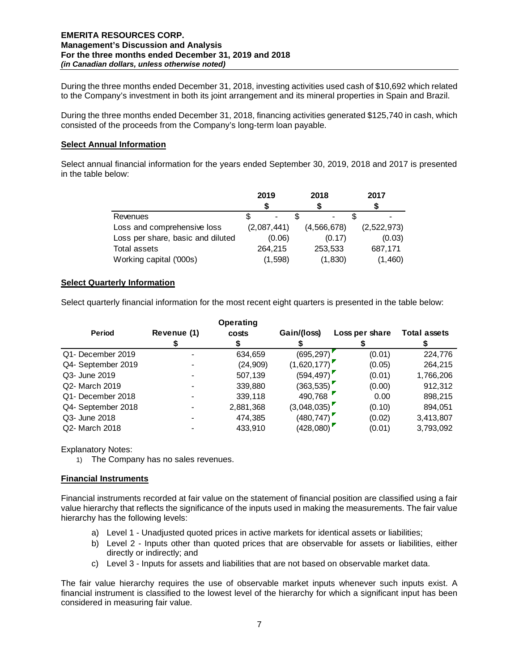During the three months ended December 31, 2018, investing activities used cash of \$10,692 which related to the Company's investment in both its joint arrangement and its mineral properties in Spain and Brazil.

During the three months ended December 31, 2018, financing activities generated \$125,740 in cash, which consisted of the proceeds from the Company's long-term loan payable.

## **Select Annual Information**

Select annual financial information for the years ended September 30, 2019, 2018 and 2017 is presented in the table below:

|                                   | 2019        | 2018        | 2017        |  |
|-----------------------------------|-------------|-------------|-------------|--|
|                                   | S           |             |             |  |
| Revenues                          |             | -           |             |  |
| Loss and comprehensive loss       | (2,087,441) | (4,566,678) | (2,522,973) |  |
| Loss per share, basic and diluted | (0.06)      | (0.17)      | (0.03)      |  |
| Total assets                      | 264.215     | 253,533     | 687,171     |  |
| Working capital ('000s)           | (1,598)     | (1,830)     | (1,460)     |  |

## **Select Quarterly Information**

Select quarterly financial information for the most recent eight quarters is presented in the table below:

|                    |             | <b>Operating</b> |             |                |                     |
|--------------------|-------------|------------------|-------------|----------------|---------------------|
| <b>Period</b>      | Revenue (1) | costs            | Gain/(loss) | Loss per share | <b>Total assets</b> |
|                    |             |                  |             |                |                     |
| Q1- December 2019  |             | 634,659          | (695,297)   | (0.01)         | 224,776             |
| Q4- September 2019 |             | (24, 909)        | (1,620,177) | (0.05)         | 264,215             |
| Q3- June 2019      |             | 507,139          | (594, 497)  | (0.01)         | 1,766,206           |
| Q2- March 2019     |             | 339,880          | (363, 535)  | (0.00)         | 912,312             |
| Q1- December 2018  |             | 339,118          | 490,768     | 0.00           | 898,215             |
| Q4- September 2018 |             | 2,881,368        | (3,048,035) | (0.10)         | 894,051             |
| Q3- June 2018      |             | 474,385          | (480, 747)  | (0.02)         | 3,413,807           |
| Q2- March 2018     |             | 433.910          | (428,080)   | (0.01)         | 3,793,092           |

Explanatory Notes:

1) The Company has no sales revenues.

## **Financial Instruments**

Financial instruments recorded at fair value on the statement of financial position are classified using a fair value hierarchy that reflects the significance of the inputs used in making the measurements. The fair value hierarchy has the following levels:

- a) Level 1 Unadjusted quoted prices in active markets for identical assets or liabilities;
- b) Level 2 Inputs other than quoted prices that are observable for assets or liabilities, either directly or indirectly; and
- c) Level 3 Inputs for assets and liabilities that are not based on observable market data.

The fair value hierarchy requires the use of observable market inputs whenever such inputs exist. A financial instrument is classified to the lowest level of the hierarchy for which a significant input has been considered in measuring fair value.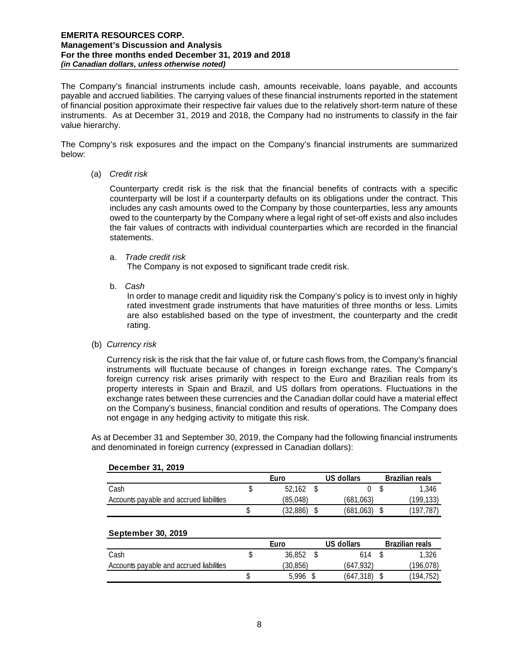The Company's financial instruments include cash, amounts receivable, loans payable, and accounts payable and accrued liabilities. The carrying values of these financial instruments reported in the statement of financial position approximate their respective fair values due to the relatively short-term nature of these instruments. As at December 31, 2019 and 2018, the Company had no instruments to classify in the fair value hierarchy.

The Compny's risk exposures and the impact on the Company's financial instruments are summarized below:

(a) *Credit risk* 

Counterparty credit risk is the risk that the financial benefits of contracts with a specific counterparty will be lost if a counterparty defaults on its obligations under the contract. This includes any cash amounts owed to the Company by those counterparties, less any amounts owed to the counterparty by the Company where a legal right of set-off exists and also includes the fair values of contracts with individual counterparties which are recorded in the financial statements.

a. *Trade credit risk*

The Company is not exposed to significant trade credit risk.

b. *Cash* 

In order to manage credit and liquidity risk the Company's policy is to invest only in highly rated investment grade instruments that have maturities of three months or less. Limits are also established based on the type of investment, the counterparty and the credit rating.

(b) *Currency risk* 

Currency risk is the risk that the fair value of, or future cash flows from, the Company's financial instruments will fluctuate because of changes in foreign exchange rates. The Company's foreign currency risk arises primarily with respect to the Euro and Brazilian reals from its property interests in Spain and Brazil, and US dollars from operations. Fluctuations in the exchange rates between these currencies and the Canadian dollar could have a material effect on the Company's business, financial condition and results of operations. The Company does not engage in any hedging activity to mitigate this risk.

As at December 31 and September 30, 2019, the Company had the following financial instruments and denominated in foreign currency (expressed in Canadian dollars):

| <b>DEPENDEL 91, ZUIS</b>                 |      |          |  |            |  |                        |  |
|------------------------------------------|------|----------|--|------------|--|------------------------|--|
|                                          | Euro |          |  | US dollars |  | <b>Brazilian reals</b> |  |
| Cash                                     |      | 52.162   |  |            |  | 1.346                  |  |
| Accounts payable and accrued liabilities |      | (85.048) |  | (681.063)  |  | (199,133)              |  |
|                                          |      | (32,886) |  | (681, 063) |  | (197.787)              |  |

#### **December 31, 2019**

#### **September 30, 2019**

|                                          | Euro     | US dollars | <b>Brazilian reals</b> |
|------------------------------------------|----------|------------|------------------------|
| Cash                                     | 36,852   | 614        | 1.326                  |
| Accounts payable and accrued liabilities | (30.856) | (647.932)  | 196,078)               |
|                                          | 5.996    | (647, 318) | (194,752)              |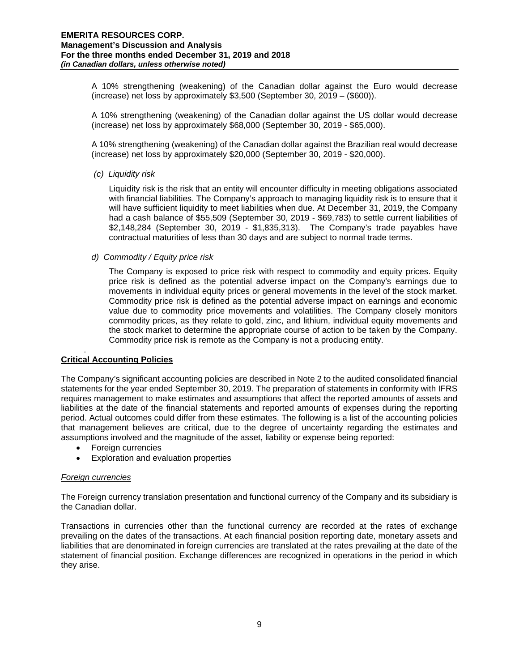A 10% strengthening (weakening) of the Canadian dollar against the Euro would decrease (increase) net loss by approximately \$3,500 (September 30, 2019 – (\$600)).

A 10% strengthening (weakening) of the Canadian dollar against the US dollar would decrease (increase) net loss by approximately \$68,000 (September 30, 2019 - \$65,000).

A 10% strengthening (weakening) of the Canadian dollar against the Brazilian real would decrease (increase) net loss by approximately \$20,000 (September 30, 2019 - \$20,000).

## *(c) Liquidity risk*

Liquidity risk is the risk that an entity will encounter difficulty in meeting obligations associated with financial liabilities. The Company's approach to managing liquidity risk is to ensure that it will have sufficient liquidity to meet liabilities when due. At December 31, 2019, the Company had a cash balance of \$55,509 (September 30, 2019 - \$69,783) to settle current liabilities of \$2,148,284 (September 30, 2019 - \$1,835,313). The Company's trade payables have contractual maturities of less than 30 days and are subject to normal trade terms.

#### *d) Commodity / Equity price risk*

The Company is exposed to price risk with respect to commodity and equity prices. Equity price risk is defined as the potential adverse impact on the Company's earnings due to movements in individual equity prices or general movements in the level of the stock market. Commodity price risk is defined as the potential adverse impact on earnings and economic value due to commodity price movements and volatilities. The Company closely monitors commodity prices, as they relate to gold, zinc, and lithium, individual equity movements and the stock market to determine the appropriate course of action to be taken by the Company. Commodity price risk is remote as the Company is not a producing entity.

#### . **Critical Accounting Policies**

The Company's significant accounting policies are described in Note 2 to the audited consolidated financial statements for the year ended September 30, 2019. The preparation of statements in conformity with IFRS requires management to make estimates and assumptions that affect the reported amounts of assets and liabilities at the date of the financial statements and reported amounts of expenses during the reporting period. Actual outcomes could differ from these estimates. The following is a list of the accounting policies that management believes are critical, due to the degree of uncertainty regarding the estimates and assumptions involved and the magnitude of the asset, liability or expense being reported:

- Foreign currencies
- Exploration and evaluation properties

## *Foreign currencies*

The Foreign currency translation presentation and functional currency of the Company and its subsidiary is the Canadian dollar.

Transactions in currencies other than the functional currency are recorded at the rates of exchange prevailing on the dates of the transactions. At each financial position reporting date, monetary assets and liabilities that are denominated in foreign currencies are translated at the rates prevailing at the date of the statement of financial position. Exchange differences are recognized in operations in the period in which they arise.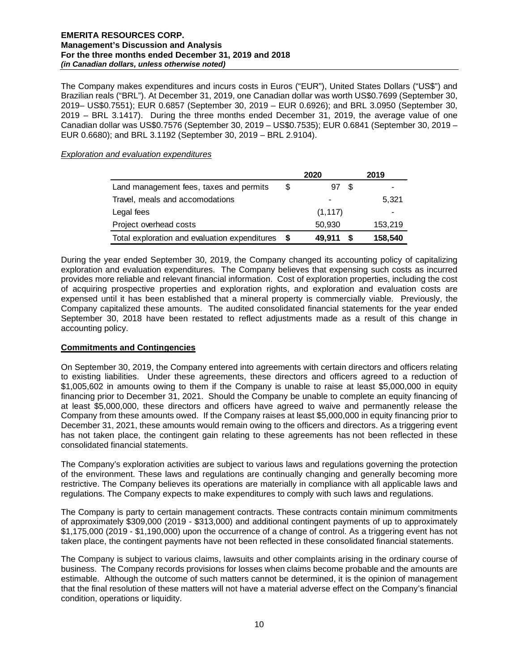The Company makes expenditures and incurs costs in Euros ("EUR"), United States Dollars ("US\$") and Brazilian reals ("BRL"). At December 31, 2019, one Canadian dollar was worth US\$0.7699 (September 30, 2019– US\$0.7551); EUR 0.6857 (September 30, 2019 – EUR 0.6926); and BRL 3.0950 (September 30, 2019 – BRL 3.1417). During the three months ended December 31, 2019, the average value of one Canadian dollar was US\$0.7576 (September 30, 2019 – US\$0.7535); EUR 0.6841 (September 30, 2019 – EUR 0.6680); and BRL 3.1192 (September 30, 2019 – BRL 2.9104).

#### *Exploration and evaluation expenditures*

|                                               |   | 2020       | 2019    |
|-----------------------------------------------|---|------------|---------|
| Land management fees, taxes and permits       | S | 97<br>- \$ |         |
| Travel, meals and accomodations               |   |            | 5,321   |
| Legal fees                                    |   | (1, 117)   |         |
| Project overhead costs                        |   | 50,930     | 153,219 |
| Total exploration and evaluation expenditures |   | 49.911     | 158,540 |

During the year ended September 30, 2019, the Company changed its accounting policy of capitalizing exploration and evaluation expenditures. The Company believes that expensing such costs as incurred provides more reliable and relevant financial information. Cost of exploration properties, including the cost of acquiring prospective properties and exploration rights, and exploration and evaluation costs are expensed until it has been established that a mineral property is commercially viable. Previously, the Company capitalized these amounts. The audited consolidated financial statements for the year ended September 30, 2018 have been restated to reflect adjustments made as a result of this change in accounting policy.

## **Commitments and Contingencies**

On September 30, 2019, the Company entered into agreements with certain directors and officers relating to existing liabilities. Under these agreements, these directors and officers agreed to a reduction of \$1,005,602 in amounts owing to them if the Company is unable to raise at least \$5,000,000 in equity financing prior to December 31, 2021. Should the Company be unable to complete an equity financing of at least \$5,000,000, these directors and officers have agreed to waive and permanently release the Company from these amounts owed. If the Company raises at least \$5,000,000 in equity financing prior to December 31, 2021, these amounts would remain owing to the officers and directors. As a triggering event has not taken place, the contingent gain relating to these agreements has not been reflected in these consolidated financial statements.

The Company's exploration activities are subject to various laws and regulations governing the protection of the environment. These laws and regulations are continually changing and generally becoming more restrictive. The Company believes its operations are materially in compliance with all applicable laws and regulations. The Company expects to make expenditures to comply with such laws and regulations.

The Company is party to certain management contracts. These contracts contain minimum commitments of approximately \$309,000 (2019 - \$313,000) and additional contingent payments of up to approximately \$1,175,000 (2019 - \$1,190,000) upon the occurrence of a change of control. As a triggering event has not taken place, the contingent payments have not been reflected in these consolidated financial statements.

The Company is subject to various claims, lawsuits and other complaints arising in the ordinary course of business. The Company records provisions for losses when claims become probable and the amounts are estimable. Although the outcome of such matters cannot be determined, it is the opinion of management that the final resolution of these matters will not have a material adverse effect on the Company's financial condition, operations or liquidity.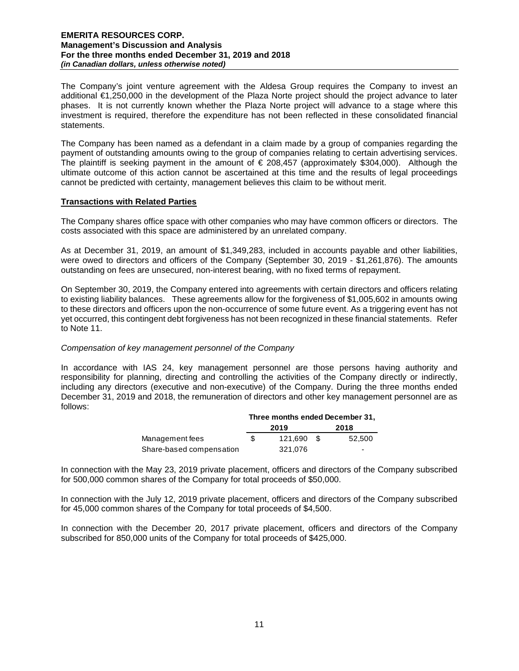The Company's joint venture agreement with the Aldesa Group requires the Company to invest an additional €1,250,000 in the development of the Plaza Norte project should the project advance to later phases. It is not currently known whether the Plaza Norte project will advance to a stage where this investment is required, therefore the expenditure has not been reflected in these consolidated financial statements.

The Company has been named as a defendant in a claim made by a group of companies regarding the payment of outstanding amounts owing to the group of companies relating to certain advertising services. The plaintiff is seeking payment in the amount of  $\epsilon$  208,457 (approximately \$304,000). Although the ultimate outcome of this action cannot be ascertained at this time and the results of legal proceedings cannot be predicted with certainty, management believes this claim to be without merit.

#### **Transactions with Related Parties**

The Company shares office space with other companies who may have common officers or directors. The costs associated with this space are administered by an unrelated company.

As at December 31, 2019, an amount of \$1,349,283, included in accounts payable and other liabilities, were owed to directors and officers of the Company (September 30, 2019 - \$1,261,876). The amounts outstanding on fees are unsecured, non-interest bearing, with no fixed terms of repayment.

On September 30, 2019, the Company entered into agreements with certain directors and officers relating to existing liability balances. These agreements allow for the forgiveness of \$1,005,602 in amounts owing to these directors and officers upon the non-occurrence of some future event. As a triggering event has not yet occurred, this contingent debt forgiveness has not been recognized in these financial statements. Refer to Note 11.

## *Compensation of key management personnel of the Company*

In accordance with IAS 24, key management personnel are those persons having authority and responsibility for planning, directing and controlling the activities of the Company directly or indirectly, including any directors (executive and non-executive) of the Company. During the three months ended December 31, 2019 and 2018, the remuneration of directors and other key management personnel are as follows:

|                          | Three months ended December 31. |         |      |                          |  |  |
|--------------------------|---------------------------------|---------|------|--------------------------|--|--|
|                          |                                 | 2019    | 2018 |                          |  |  |
| Management fees          | \$.                             | 121.690 | - \$ | 52.500                   |  |  |
| Share-based compensation |                                 | 321.076 |      | $\overline{\phantom{0}}$ |  |  |

In connection with the May 23, 2019 private placement, officers and directors of the Company subscribed for 500,000 common shares of the Company for total proceeds of \$50,000.

In connection with the July 12, 2019 private placement, officers and directors of the Company subscribed for 45,000 common shares of the Company for total proceeds of \$4,500.

In connection with the December 20, 2017 private placement, officers and directors of the Company subscribed for 850,000 units of the Company for total proceeds of \$425,000.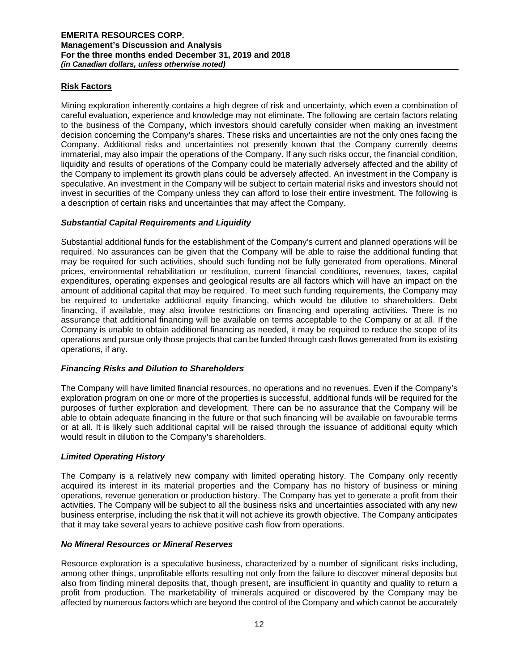# **Risk Factors**

Mining exploration inherently contains a high degree of risk and uncertainty, which even a combination of careful evaluation, experience and knowledge may not eliminate. The following are certain factors relating to the business of the Company, which investors should carefully consider when making an investment decision concerning the Company's shares. These risks and uncertainties are not the only ones facing the Company. Additional risks and uncertainties not presently known that the Company currently deems immaterial, may also impair the operations of the Company. If any such risks occur, the financial condition, liquidity and results of operations of the Company could be materially adversely affected and the ability of the Company to implement its growth plans could be adversely affected. An investment in the Company is speculative. An investment in the Company will be subject to certain material risks and investors should not invest in securities of the Company unless they can afford to lose their entire investment. The following is a description of certain risks and uncertainties that may affect the Company.

## *Substantial Capital Requirements and Liquidity*

Substantial additional funds for the establishment of the Company's current and planned operations will be required. No assurances can be given that the Company will be able to raise the additional funding that may be required for such activities, should such funding not be fully generated from operations. Mineral prices, environmental rehabilitation or restitution, current financial conditions, revenues, taxes, capital expenditures, operating expenses and geological results are all factors which will have an impact on the amount of additional capital that may be required. To meet such funding requirements, the Company may be required to undertake additional equity financing, which would be dilutive to shareholders. Debt financing, if available, may also involve restrictions on financing and operating activities. There is no assurance that additional financing will be available on terms acceptable to the Company or at all. If the Company is unable to obtain additional financing as needed, it may be required to reduce the scope of its operations and pursue only those projects that can be funded through cash flows generated from its existing operations, if any.

## *Financing Risks and Dilution to Shareholders*

The Company will have limited financial resources, no operations and no revenues. Even if the Company's exploration program on one or more of the properties is successful, additional funds will be required for the purposes of further exploration and development. There can be no assurance that the Company will be able to obtain adequate financing in the future or that such financing will be available on favourable terms or at all. It is likely such additional capital will be raised through the issuance of additional equity which would result in dilution to the Company's shareholders.

## *Limited Operating History*

The Company is a relatively new company with limited operating history. The Company only recently acquired its interest in its material properties and the Company has no history of business or mining operations, revenue generation or production history. The Company has yet to generate a profit from their activities. The Company will be subject to all the business risks and uncertainties associated with any new business enterprise, including the risk that it will not achieve its growth objective. The Company anticipates that it may take several years to achieve positive cash flow from operations.

## *No Mineral Resources or Mineral Reserves*

Resource exploration is a speculative business, characterized by a number of significant risks including, among other things, unprofitable efforts resulting not only from the failure to discover mineral deposits but also from finding mineral deposits that, though present, are insufficient in quantity and quality to return a profit from production. The marketability of minerals acquired or discovered by the Company may be affected by numerous factors which are beyond the control of the Company and which cannot be accurately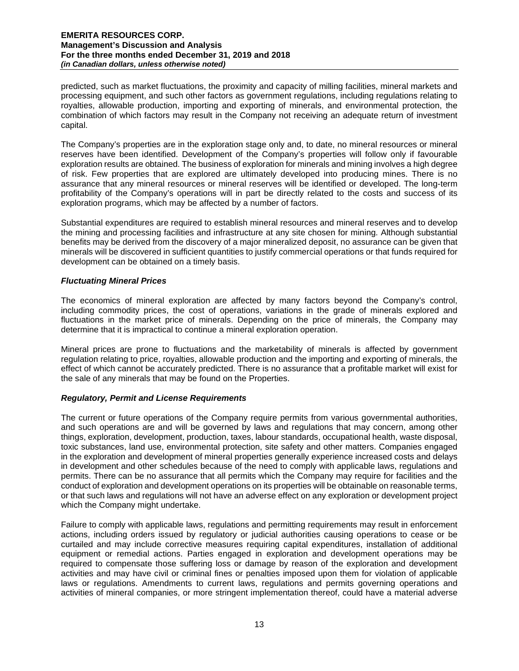predicted, such as market fluctuations, the proximity and capacity of milling facilities, mineral markets and processing equipment, and such other factors as government regulations, including regulations relating to royalties, allowable production, importing and exporting of minerals, and environmental protection, the combination of which factors may result in the Company not receiving an adequate return of investment capital.

The Company's properties are in the exploration stage only and, to date, no mineral resources or mineral reserves have been identified. Development of the Company's properties will follow only if favourable exploration results are obtained. The business of exploration for minerals and mining involves a high degree of risk. Few properties that are explored are ultimately developed into producing mines. There is no assurance that any mineral resources or mineral reserves will be identified or developed. The long-term profitability of the Company's operations will in part be directly related to the costs and success of its exploration programs, which may be affected by a number of factors.

Substantial expenditures are required to establish mineral resources and mineral reserves and to develop the mining and processing facilities and infrastructure at any site chosen for mining. Although substantial benefits may be derived from the discovery of a major mineralized deposit, no assurance can be given that minerals will be discovered in sufficient quantities to justify commercial operations or that funds required for development can be obtained on a timely basis.

## *Fluctuating Mineral Prices*

The economics of mineral exploration are affected by many factors beyond the Company's control, including commodity prices, the cost of operations, variations in the grade of minerals explored and fluctuations in the market price of minerals. Depending on the price of minerals, the Company may determine that it is impractical to continue a mineral exploration operation.

Mineral prices are prone to fluctuations and the marketability of minerals is affected by government regulation relating to price, royalties, allowable production and the importing and exporting of minerals, the effect of which cannot be accurately predicted. There is no assurance that a profitable market will exist for the sale of any minerals that may be found on the Properties.

## *Regulatory, Permit and License Requirements*

The current or future operations of the Company require permits from various governmental authorities, and such operations are and will be governed by laws and regulations that may concern, among other things, exploration, development, production, taxes, labour standards, occupational health, waste disposal, toxic substances, land use, environmental protection, site safety and other matters. Companies engaged in the exploration and development of mineral properties generally experience increased costs and delays in development and other schedules because of the need to comply with applicable laws, regulations and permits. There can be no assurance that all permits which the Company may require for facilities and the conduct of exploration and development operations on its properties will be obtainable on reasonable terms, or that such laws and regulations will not have an adverse effect on any exploration or development project which the Company might undertake.

Failure to comply with applicable laws, regulations and permitting requirements may result in enforcement actions, including orders issued by regulatory or judicial authorities causing operations to cease or be curtailed and may include corrective measures requiring capital expenditures, installation of additional equipment or remedial actions. Parties engaged in exploration and development operations may be required to compensate those suffering loss or damage by reason of the exploration and development activities and may have civil or criminal fines or penalties imposed upon them for violation of applicable laws or regulations. Amendments to current laws, regulations and permits governing operations and activities of mineral companies, or more stringent implementation thereof, could have a material adverse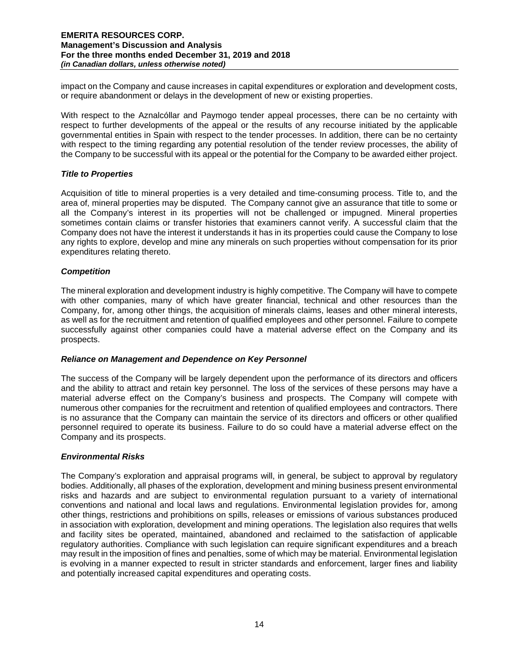impact on the Company and cause increases in capital expenditures or exploration and development costs, or require abandonment or delays in the development of new or existing properties.

With respect to the Aznalcóllar and Paymogo tender appeal processes, there can be no certainty with respect to further developments of the appeal or the results of any recourse initiated by the applicable governmental entities in Spain with respect to the tender processes. In addition, there can be no certainty with respect to the timing regarding any potential resolution of the tender review processes, the ability of the Company to be successful with its appeal or the potential for the Company to be awarded either project.

## *Title to Properties*

Acquisition of title to mineral properties is a very detailed and time-consuming process. Title to, and the area of, mineral properties may be disputed. The Company cannot give an assurance that title to some or all the Company's interest in its properties will not be challenged or impugned. Mineral properties sometimes contain claims or transfer histories that examiners cannot verify. A successful claim that the Company does not have the interest it understands it has in its properties could cause the Company to lose any rights to explore, develop and mine any minerals on such properties without compensation for its prior expenditures relating thereto.

#### *Competition*

The mineral exploration and development industry is highly competitive. The Company will have to compete with other companies, many of which have greater financial, technical and other resources than the Company, for, among other things, the acquisition of minerals claims, leases and other mineral interests, as well as for the recruitment and retention of qualified employees and other personnel. Failure to compete successfully against other companies could have a material adverse effect on the Company and its prospects.

# *Reliance on Management and Dependence on Key Personnel*

The success of the Company will be largely dependent upon the performance of its directors and officers and the ability to attract and retain key personnel. The loss of the services of these persons may have a material adverse effect on the Company's business and prospects. The Company will compete with numerous other companies for the recruitment and retention of qualified employees and contractors. There is no assurance that the Company can maintain the service of its directors and officers or other qualified personnel required to operate its business. Failure to do so could have a material adverse effect on the Company and its prospects.

## *Environmental Risks*

The Company's exploration and appraisal programs will, in general, be subject to approval by regulatory bodies. Additionally, all phases of the exploration, development and mining business present environmental risks and hazards and are subject to environmental regulation pursuant to a variety of international conventions and national and local laws and regulations. Environmental legislation provides for, among other things, restrictions and prohibitions on spills, releases or emissions of various substances produced in association with exploration, development and mining operations. The legislation also requires that wells and facility sites be operated, maintained, abandoned and reclaimed to the satisfaction of applicable regulatory authorities. Compliance with such legislation can require significant expenditures and a breach may result in the imposition of fines and penalties, some of which may be material. Environmental legislation is evolving in a manner expected to result in stricter standards and enforcement, larger fines and liability and potentially increased capital expenditures and operating costs.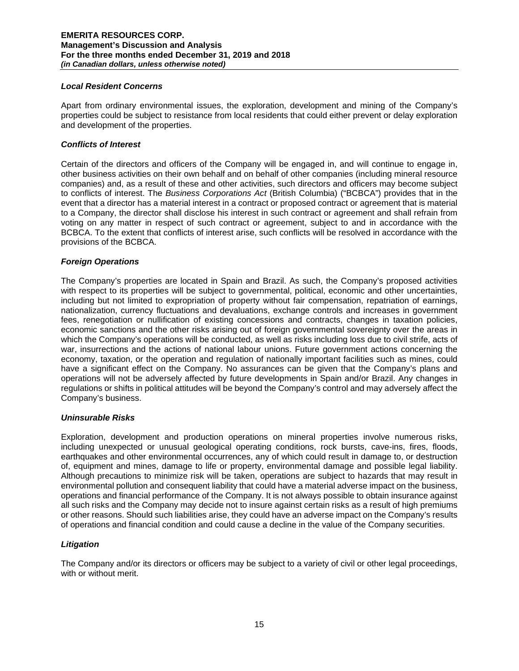## *Local Resident Concerns*

Apart from ordinary environmental issues, the exploration, development and mining of the Company's properties could be subject to resistance from local residents that could either prevent or delay exploration and development of the properties.

## *Conflicts of Interest*

Certain of the directors and officers of the Company will be engaged in, and will continue to engage in, other business activities on their own behalf and on behalf of other companies (including mineral resource companies) and, as a result of these and other activities, such directors and officers may become subject to conflicts of interest. The *Business Corporations Act* (British Columbia) ("BCBCA") provides that in the event that a director has a material interest in a contract or proposed contract or agreement that is material to a Company, the director shall disclose his interest in such contract or agreement and shall refrain from voting on any matter in respect of such contract or agreement, subject to and in accordance with the BCBCA. To the extent that conflicts of interest arise, such conflicts will be resolved in accordance with the provisions of the BCBCA.

#### *Foreign Operations*

The Company's properties are located in Spain and Brazil. As such, the Company's proposed activities with respect to its properties will be subject to governmental, political, economic and other uncertainties, including but not limited to expropriation of property without fair compensation, repatriation of earnings, nationalization, currency fluctuations and devaluations, exchange controls and increases in government fees, renegotiation or nullification of existing concessions and contracts, changes in taxation policies, economic sanctions and the other risks arising out of foreign governmental sovereignty over the areas in which the Company's operations will be conducted, as well as risks including loss due to civil strife, acts of war, insurrections and the actions of national labour unions. Future government actions concerning the economy, taxation, or the operation and regulation of nationally important facilities such as mines, could have a significant effect on the Company. No assurances can be given that the Company's plans and operations will not be adversely affected by future developments in Spain and/or Brazil. Any changes in regulations or shifts in political attitudes will be beyond the Company's control and may adversely affect the Company's business.

#### *Uninsurable Risks*

Exploration, development and production operations on mineral properties involve numerous risks, including unexpected or unusual geological operating conditions, rock bursts, cave-ins, fires, floods, earthquakes and other environmental occurrences, any of which could result in damage to, or destruction of, equipment and mines, damage to life or property, environmental damage and possible legal liability. Although precautions to minimize risk will be taken, operations are subject to hazards that may result in environmental pollution and consequent liability that could have a material adverse impact on the business, operations and financial performance of the Company. It is not always possible to obtain insurance against all such risks and the Company may decide not to insure against certain risks as a result of high premiums or other reasons. Should such liabilities arise, they could have an adverse impact on the Company's results of operations and financial condition and could cause a decline in the value of the Company securities.

## *Litigation*

The Company and/or its directors or officers may be subject to a variety of civil or other legal proceedings, with or without merit.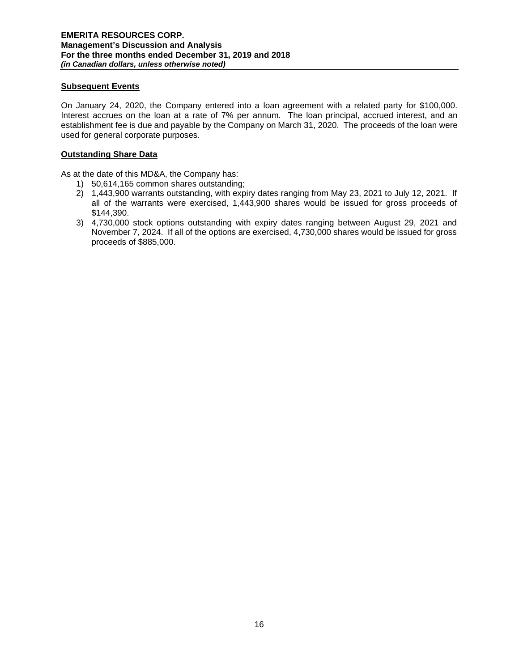## **Subsequent Events**

On January 24, 2020, the Company entered into a loan agreement with a related party for \$100,000. Interest accrues on the loan at a rate of 7% per annum. The loan principal, accrued interest, and an establishment fee is due and payable by the Company on March 31, 2020. The proceeds of the loan were used for general corporate purposes.

## **Outstanding Share Data**

As at the date of this MD&A, the Company has:

- 1) 50,614,165 common shares outstanding;
- 2) 1,443,900 warrants outstanding, with expiry dates ranging from May 23, 2021 to July 12, 2021. If all of the warrants were exercised, 1,443,900 shares would be issued for gross proceeds of \$144,390.
- 3) 4,730,000 stock options outstanding with expiry dates ranging between August 29, 2021 and November 7, 2024. If all of the options are exercised, 4,730,000 shares would be issued for gross proceeds of \$885,000.